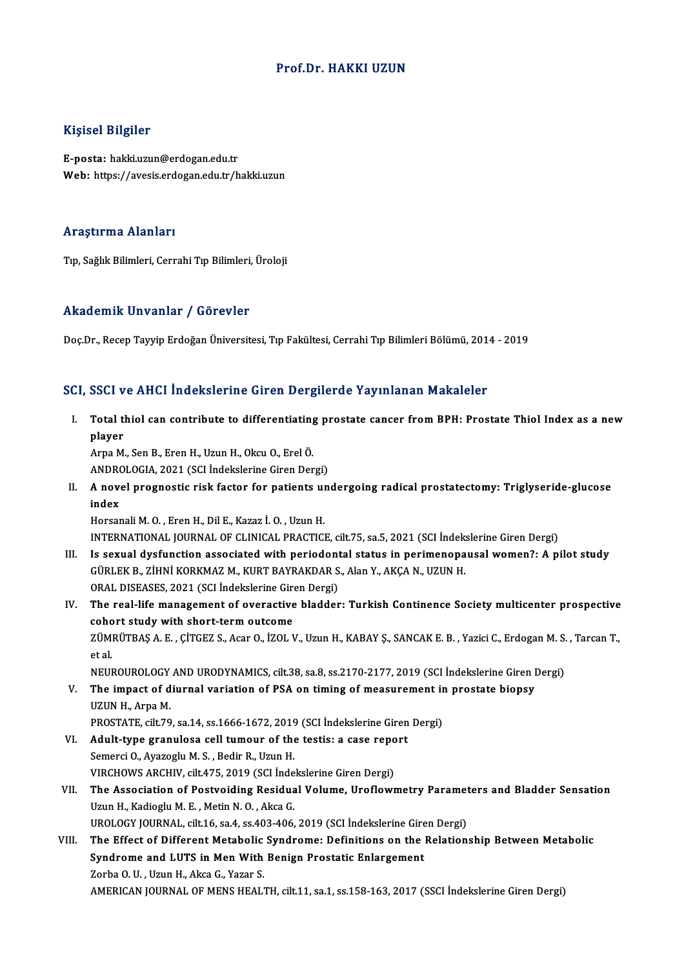### Prof.Dr.HAKKI UZUN

### Kişisel Bilgiler

E-posta: hakki.uzun@erdogan.edu.tr Web: https://avesis.erdogan.edu.tr/hakki.uzun

#### Araştırma Alanları

Tıp, Sağlık Bilimleri, Cerrahi Tıp Bilimleri, Üroloji

#### Akademik Unvanlar / Görevler

Doç.Dr.,RecepTayyipErdoğanÜniversitesi,Tıp Fakültesi,CerrahiTıpBilimleriBölümü,2014 -2019

#### SCI, SSCI ve AHCI İndekslerine Giren Dergilerde Yayınlanan Makaleler

I. Total thiol can contribute to differentiating prostate cancer fromBPH: Prostate Thiol Index as a new poor<br>Total t<br>player<br><sup>Arna M</sup> player<br>Arpa M., Sen B., Eren H., Uzun H., Okcu O., Erel Ö.

player<br>Arpa M., Sen B., Eren H., Uzun H., Okcu O., Erel Ö.<br>ANDROLOGIA, 2021 (SCI İndekslerine Giren Dergi)<br>A novel pregnestis risk faster for patients un

II. A novel prognostic risk factor for patients undergoing radical prostatectomy: Triglyseride-glucose index ANDRO<br>A nove<br>index<br>Horser

HorsanaliM.O. ,ErenH.,DilE.,Kazaz İ.O. ,UzunH. INTERNATIONAL JOURNALOF CLINICAL PRACTICE, cilt.75, sa.5,2021 (SCI İndekslerineGirenDergi)

- Horsanali M. O. , Eren H., Dil E., Kazaz İ. O. , Uzun H.<br>INTERNATIONAL JOURNAL OF CLINICAL PRACTICE, cilt.75, sa.5, 2021 (SCI İndekslerine Giren Dergi)<br>III. Is sexual dysfunction associated with periodontal status in perim INTERNATIONAL JOURNAL OF CLINICAL PRACTICE, cilt.75, sa.5, 2021 (SCI İndek:<br>Is sexual dysfunction associated with periodontal status in perimenopa<br>GÜRLEK B., ZİHNİ KORKMAZ M., KURT BAYRAKDAR S., Alan Y., AKÇA N., UZUN H.<br>O Is sexual dysfunction associated with periodont<br>GÜRLEK B., ZİHNİ KORKMAZ M., KURT BAYRAKDAR S<br>ORAL DISEASES, 2021 (SCI İndekslerine Giren Dergi)<br>The real life management of everestive bladder GÜRLEK B., ZİHNİ KORKMAZ M., KURT BAYRAKDAR S., Alan Y., AKÇA N., UZUN H.<br>ORAL DISEASES, 2021 (SCI İndekslerine Giren Dergi)<br>IV. The real-life management of overactive bladder: Turkish Continence Society multicenter prospe
- ORAL DISEASES, 2021 (SCI Indekslerine Gire<br>The real-life management of overactive<br>cohort study with short-term outcome<br>zÜMPÜTPAS A E CITCEZS AGORO 1701 M The real-life management of overactive bladder: Turkish Continence Society multicenter prospective<br>cohort study with short-term outcome<br>ZÜMRÜTBAŞ A. E. , ÇİTGEZ S., Acar O., İZOL V., Uzun H., KABAY Ş., SANCAK E. B. , Yazic coho<br>ZÜM<br>et al.<br>NEU ZÜMRÜTBAŞ A. E. , ÇİTGEZ S., Acar O., İZOL V., Uzun H., KABAY Ş., SANCAK E. B. , Yazici C., Erdogan M. S.<br>et al.<br>NEUROUROLOGY AND URODYNAMICS, cilt.38, sa.8, ss.2170-2177, 2019 (SCI İndekslerine Giren Dergi)<br>The impact of et al.<br>NEUROUROLOGY AND URODYNAMICS, cilt.38, sa.8, ss.2170-2177, 2019 (SCI İndekslerine Giren I<br>V. The impact of diurnal variation of PSA on timing of measurement in prostate biopsy<br>UZUN H. Arna M
- NEUROUROLOGY<br>The impact of d<br>UZUN H., Arpa M.<br>PROSTATE silt 70 The impact of diurnal variation of PSA on timing of measurement in<br>UZUN H., Arpa M.<br>PROSTATE, cilt.79, sa.14, ss.1666-1672, 2019 (SCI İndekslerine Giren Dergi)<br>Adult tune granulasa sell tumeur of the testisue sesse report. UZUN H., Arpa M.<br>PROSTATE, cilt.79, sa.14, ss.1666-1672, 2019 (SCI Indekslerine Giren Dergi)<br>VI. Adult-type granulosa cell tumour of the testis: a case report
- Semerci O., Ayazoglu M. S., Bedir R., Uzun H. Adult-type granulosa cell tumour of the testis: a case repo<br>Semerci O., Ayazoglu M. S. , Bedir R., Uzun H.<br>VIRCHOWS ARCHIV, cilt.475, 2019 (SCI İndekslerine Giren Dergi)<br>The Association of Bostvoiding Bosidual Volume, Unof
- VII. The Association of Postvoiding Residual Volume, Uroflowmetry Parameters and Bladder Sensation<br>Uzun H., Kadioglu M. E., Metin N. O., Akca G. VIRCHOWS ARCHIV, cilt.475, 2019 (SCI Inde<br>The Association of Postvoiding Residua<br>Uzun H., Kadioglu M. E. , Metin N. O. , Akca G.<br>UPOLOCY JOUPNAL silt 16 ss 4 ss 403, 406 The Association of Postvoiding Residual Volume, Uroflowmetry Paramet<br>Uzun H., Kadioglu M. E. , Metin N. O. , Akca G.<br>UROLOGY JOURNAL, cilt.16, sa.4, ss.403-406, 2019 (SCI İndekslerine Giren Dergi)<br>The Effect of Different M Uzun H., Kadioglu M. E. , Metin N. O. , Akca G.<br>UROLOGY JOURNAL, cilt.16, sa.4, ss.403-406, 2019 (SCI İndekslerine Giren Dergi)<br>VIII. The Effect of Different Metabolic Syndrome: Definitions on the Relationship Between
- UROLOGY JOURNAL, cilt.16, sa.4, ss.403-406, 2019 (SCI İndekslerine Gire<br>The Effect of Different Metabolic Syndrome: Definitions on the<br>Syndrome and LUTS in Men With Benign Prostatic Enlargement<br>Zarba O. U. Uzun H. Alsse G. The Effect of Different Metabolic<br>Syndrome and LUTS in Men With<br>Zorba O.U., Uzun H., Akca G., Yazar S.<br>AMERICAN JOURNAL OF MENS HEAL Syndrome and LUTS in Men With Benign Prostatic Enlargement<br>Zorba O. U. , Uzun H., Akca G., Yazar S.<br>AMERICAN JOURNAL OF MENS HEALTH, cilt.11, sa.1, ss.158-163, 2017 (SSCI İndekslerine Giren Dergi)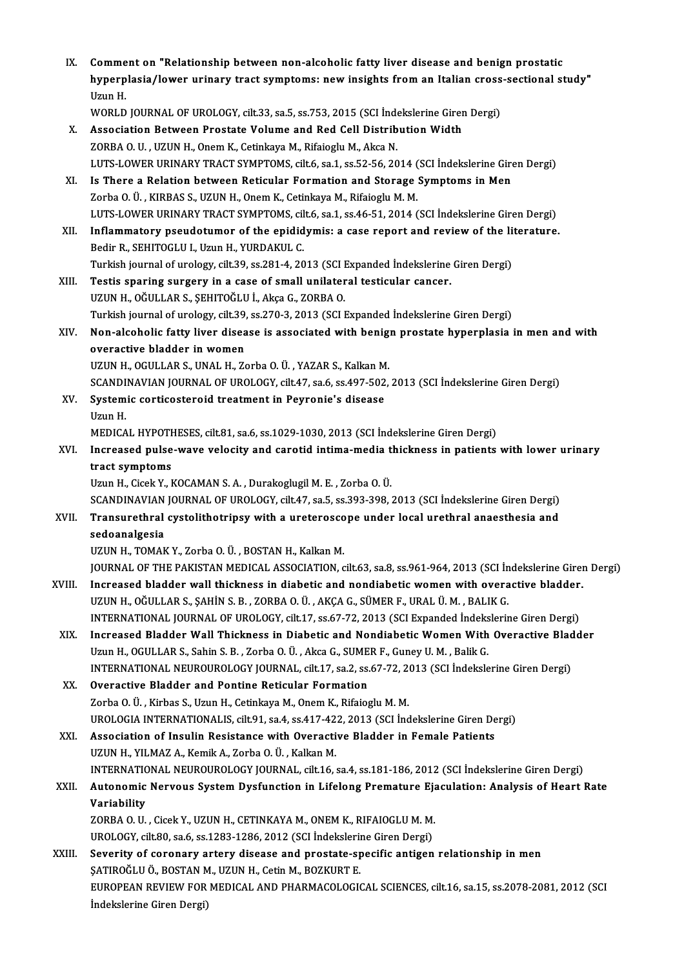| IX.    | Comment on "Relationship between non-alcoholic fatty liver disease and benign prostatic<br>hyperplasia/lower urinary tract symptoms: new insights from an Italian cross-sectional study" |
|--------|------------------------------------------------------------------------------------------------------------------------------------------------------------------------------------------|
|        | Uzun H.<br>WORLD JOURNAL OF UROLOGY, cilt.33, sa.5, ss.753, 2015 (SCI Indekslerine Giren Dergi)                                                                                          |
| X.     | Association Between Prostate Volume and Red Cell Distribution Width                                                                                                                      |
|        | ZORBA O. U., UZUN H., Onem K., Cetinkaya M., Rifaioglu M., Akca N.                                                                                                                       |
|        | LUTS-LOWER URINARY TRACT SYMPTOMS, cilt.6, sa.1, ss.52-56, 2014 (SCI Indekslerine Giren Dergi)                                                                                           |
| XI.    | Is There a Relation between Reticular Formation and Storage Symptoms in Men                                                                                                              |
|        | Zorba O. Ü., KIRBAS S., UZUN H., Onem K., Cetinkaya M., Rifaioglu M. M.                                                                                                                  |
|        | LUTS-LOWER URINARY TRACT SYMPTOMS, cilt.6, sa.1, ss.46-51, 2014 (SCI İndekslerine Giren Dergi)                                                                                           |
| XII.   | Inflammatory pseudotumor of the epididymis: a case report and review of the literature.                                                                                                  |
|        | Bedir R., SEHITOGLU I., Uzun H., YURDAKUL C.                                                                                                                                             |
|        | Turkish journal of urology, cilt.39, ss.281-4, 2013 (SCI Expanded Indekslerine Giren Dergi)                                                                                              |
| XIII.  | Testis sparing surgery in a case of small unilateral testicular cancer.                                                                                                                  |
|        | UZUN H., OĞULLAR S., ŞEHITOĞLU İ., Akça G., ZORBA O.                                                                                                                                     |
|        | Turkish journal of urology, cilt.39, ss.270-3, 2013 (SCI Expanded İndekslerine Giren Dergi)                                                                                              |
| XIV.   | Non-alcoholic fatty liver disease is associated with benign prostate hyperplasia in men and with                                                                                         |
|        | overactive bladder in women                                                                                                                                                              |
|        | UZUN H., OGULLAR S., UNAL H., Zorba O. Ü., YAZAR S., Kalkan M.                                                                                                                           |
|        | SCANDINAVIAN JOURNAL OF UROLOGY, cilt.47, sa.6, ss.497-502, 2013 (SCI İndekslerine Giren Dergi)                                                                                          |
| XV.    | Systemic corticosteroid treatment in Peyronie's disease                                                                                                                                  |
|        | Uzun H.                                                                                                                                                                                  |
| XVI.   | MEDICAL HYPOTHESES, cilt.81, sa.6, ss.1029-1030, 2013 (SCI Indekslerine Giren Dergi)<br>Increased pulse-wave velocity and carotid intima-media thickness in patients with lower urinary  |
|        | tract symptoms                                                                                                                                                                           |
|        | Uzun H., Cicek Y., KOCAMAN S. A., Durakoglugil M. E., Zorba O. Ü.                                                                                                                        |
|        | SCANDINAVIAN JOURNAL OF UROLOGY, cilt.47, sa.5, ss.393-398, 2013 (SCI İndekslerine Giren Dergi)                                                                                          |
| XVII.  | Transurethral cystolithotripsy with a ureteroscope under local urethral anaesthesia and                                                                                                  |
|        | sedoanalgesia                                                                                                                                                                            |
|        | UZUN H., TOMAK Y., Zorba O. Ü., BOSTAN H., Kalkan M.                                                                                                                                     |
|        | JOURNAL OF THE PAKISTAN MEDICAL ASSOCIATION, cilt.63, sa.8, ss.961-964, 2013 (SCI Indekslerine Giren Dergi)                                                                              |
| XVIII. | Increased bladder wall thickness in diabetic and nondiabetic women with overactive bladder.                                                                                              |
|        | UZUN H., OĞULLAR S., ŞAHİN S. B. , ZORBA O. Ü. , AKÇA G., SÜMER F., URAL Ü. M. , BALIK G.                                                                                                |
|        | INTERNATIONAL JOURNAL OF UROLOGY, cilt.17, ss.67-72, 2013 (SCI Expanded Indekslerine Giren Dergi)                                                                                        |
| XIX.   | Increased Bladder Wall Thickness in Diabetic and Nondiabetic Women With Overactive Bladder                                                                                               |
|        | Uzun H., OGULLAR S., Sahin S. B., Zorba O. Ü., Akca G., SUMER F., Guney U. M., Balik G.                                                                                                  |
|        | INTERNATIONAL NEUROUROLOGY JOURNAL, cilt.17, sa.2, ss.67-72, 2013 (SCI İndekslerine Giren Dergi)                                                                                         |
| XX.    | Overactive Bladder and Pontine Reticular Formation                                                                                                                                       |
|        | Zorba O. Ü., Kirbas S., Uzun H., Cetinkaya M., Onem K., Rifaioglu M. M.<br>UROLOGIA INTERNATIONALIS, cilt.91, sa.4, ss.417-422, 2013 (SCI Indekslerine Giren Dergi)                      |
| XXI.   | Association of Insulin Resistance with Overactive Bladder in Female Patients                                                                                                             |
|        | UZUN H., YILMAZ A., Kemik A., Zorba O. Ü., Kalkan M.                                                                                                                                     |
|        | INTERNATIONAL NEUROUROLOGY JOURNAL, cilt.16, sa.4, ss.181-186, 2012 (SCI İndekslerine Giren Dergi)                                                                                       |
| XXII.  | Autonomic Nervous System Dysfunction in Lifelong Premature Ejaculation: Analysis of Heart Rate                                                                                           |
|        | Variability                                                                                                                                                                              |
|        | ZORBA O. U., Cicek Y., UZUN H., CETINKAYA M., ONEM K., RIFAIOGLU M. M.                                                                                                                   |
|        | UROLOGY, cilt.80, sa.6, ss.1283-1286, 2012 (SCI Indekslerine Giren Dergi)                                                                                                                |
| XXIII. | Severity of coronary artery disease and prostate-specific antigen relationship in men                                                                                                    |
|        | ŞATIROĞLU Ö., BOSTAN M., UZUN H., Cetin M., BOZKURT E.                                                                                                                                   |
|        | EUROPEAN REVIEW FOR MEDICAL AND PHARMACOLOGICAL SCIENCES, cilt.16, sa.15, ss.2078-2081, 2012 (SCI                                                                                        |
|        | Indekslerine Giren Dergi)                                                                                                                                                                |
|        |                                                                                                                                                                                          |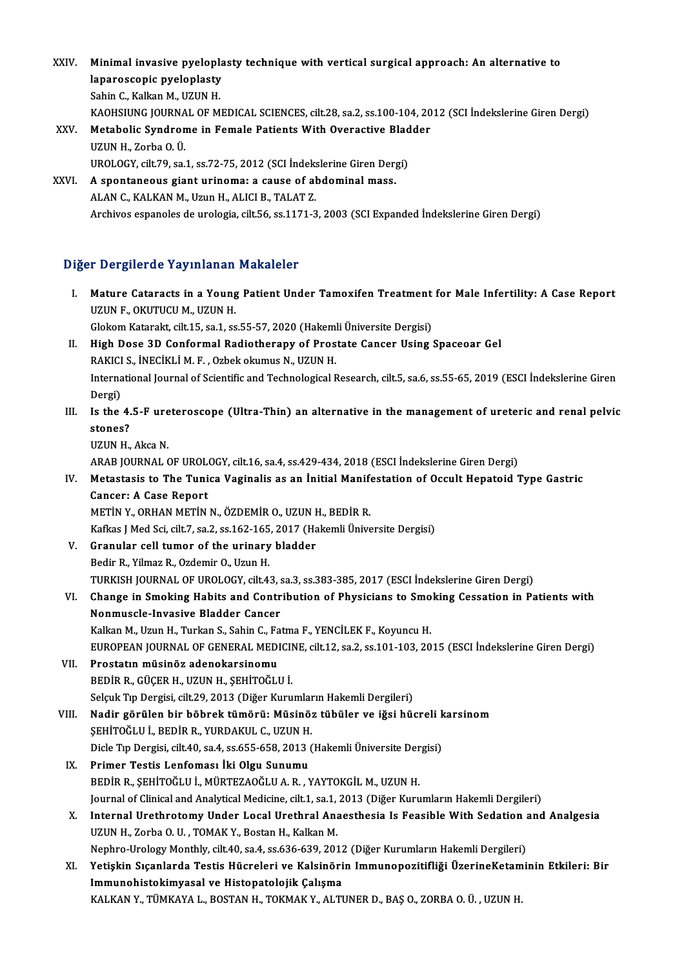- XXIV. Minimal invasive pyeloplasty technique with vertical surgical approach: An alternative to<br>lapareasenis pyeloplasty Minimal invasive pyelopla<br>laparoscopic pyeloplasty<br>Sebin C. Kalkan M. UZUN H Minimal invasive pyelopl:<br>laparoscopic pyeloplasty<br>Sahin C., Kalkan M., UZUN H.<br>KAQUSUING JOUPMAL OF M laparoscopic pyeloplasty<br>Sahin C., Kalkan M., UZUN H.<br>KAOHSIUNG JOURNAL OF MEDICAL SCIENCES, cilt.28, sa.2, ss.100-104, 2012 (SCI İndekslerine Giren Dergi)<br>Metabolis Syndnome in Female Petients With Ovenestive Pladder Sahin C., Kalkan M., UZUN H.<br>KAOHSIUNG JOURNAL OF MEDICAL SCIENCES, cilt.28, sa.2, ss.100-104, 20<br>XXV. Metabolic Syndrome in Female Patients With Overactive Bladder<br>UZUN H. Zorba Q.Ü KAOHSIUNG JOURNA<br>Metabolic Syndron<br>UZUN H., Zorba O. Ü.<br>UPOLOCY silt 79. sa. Metabolic Syndrome in Female Patients With Overactive Blad<br>UZUN H., Zorba O. Ü.<br>UROLOGY, cilt.79, sa.1, ss.72-75, 2012 (SCI İndekslerine Giren Dergi)<br>A spentaneous giant urinoma: a sause of abdominal mass UZUN H., Zorba O. Ü.<br>UROLOGY, cilt.79, sa.1, ss.72-75, 2012 (SCI İndekslerine Giren Derg<br>XXVI. A spontaneous giant urinoma: a cause of abdominal mass.<br>ALAN G. KALKAN M. Urun H. ALICLE, TALAT Z.
- UROLOGY, cilt.79, sa.1, ss.72-75, 2012 (SCI İndeks<br>A spontaneous giant urinoma: a cause of al<br>ALAN C., KALKAN M., Uzun H., ALICI B., TALAT Z. A spontaneous giant urinoma: a cause of abdominal mass.<br>ALAN C., KALKAN M., Uzun H., ALICI B., TALAT Z.<br>Archivos espanoles de urologia, cilt.56, ss.1171-3, 2003 (SCI Expanded İndekslerine Giren Dergi)

# Diğer Dergilerde Yayınlanan Makaleler

- Iger Dergilerde Yayınlanan Makaleler<br>I. Mature Cataracts in a Young Patient Under Tamoxifen Treatment for Male Infertility: A Case Report<br>ITZUN E OVUTUCU M JIZUN H Mature Cataracts in a Young<br>UZUN F., OKUTUCU M., UZUN H.<br>Claliam Katarakt silt 15, 22 1, 22 UZUN F., OKUTUCU M., UZUN H.<br>Glokom Katarakt, cilt.15, sa.1, ss.55-57, 2020 (Hakemli Üniversite Dergisi)
- UZUN F., OKUTUCU M., UZUN H.<br>Glokom Katarakt, cilt.15, sa.1, ss.55-57, 2020 (Hakemli Üniversite Dergisi)<br>II. High Dose 3D Conformal Radiotherapy of Prostate Cancer Using Spaceoar Gel<br>RAKICLS, İNECIKLİ M.E., Orbek olumuş N. Glokom Katarakt, cilt.15, sa.1, ss.55-57, 2020 (Hakem)<br>High Dose 3D Conformal Radiotherapy of Pros<br>RAKICI S., İNECİKLİ M. F. , Ozbek okumus N., UZUN H.<br>International Jaurual of Scientific and Technological B International Journal of Scientific and Technological Research, cilt.5, sa.6, ss.55-65, 2019 (ESCI İndekslerine Giren<br>Dergi) RAKICI S., İNECİKLİ M. F., Ozbek okumus N., UZUN H. International Journal of Scientific and Technological Research, cilt.5, sa.6, ss.55-65, 2019 (ESCI İndekslerine Giren<br>Dergi)<br>III. Is the 4.5-F ureteroscope (Ultra-Thin) an alternative in the management of ureteric and rena
- Dergi)<br>Is the 4.<br>stones?<br>UZUN H Is the 4.5-F ure<br>stones?<br>UZUN H., Akca N.<br>ARAR JOURNAL G stones?<br>UZUN H., Akca N.<br>ARAB JOURNAL OF UROLOGY, cilt.16, sa.4, ss.429-434, 2018 (ESCI İndekslerine Giren Dergi)
	-

UZUN H., Akca N.<br>ARAB JOURNAL OF UROLOGY, cilt.16, sa.4, ss.429-434, 2018 (ESCI İndekslerine Giren Dergi)<br>IV. Metastasis to The Tunica Vaginalis as an İnitial Manifestation of Occult Hepatoid Type Gastric<br>Cancar: A Case Ba ARAB JOURNAL OF UROL<br>Metastasis to The Tuni<br>Cancer: A Case Report<br>METIN Y OPHAN METIN Metastasis to The Tunica Vaginalis as an İnitial Manif<br>Cancer: A Case Report<br>METİN Y., ORHAN METİN N., ÖZDEMİR O., UZUN H., BEDİR R.<br>Kafkas UMed Sej cilt 7, 82,2,8142,145,2017 (Halamli Ünive Cancer: A Case Report<br>METİN Y., ORHAN METİN N., ÖZDEMİR O., UZUN H., BEDİR R.<br>Kafkas J Med Sci, cilt.7, sa.2, ss.162-165, 2017 (Hakemli Üniversite Dergisi)

- METIN Y., ORHAN METIN N., ÖZDEMIR O., UZUN I<br>Kafkas J Med Sci, cilt.7, sa.2, ss.162-165, 2017 (Ha<br>V. Granular cell tumor of the urinary bladder<br>Pedin P. Vilmar P. Ordemin O. Urun H Kafkas J Med Sci, cilt.7, sa.2, ss.162-165<br>Granular cell tumor of the urinary<br>Bedir R., Yilmaz R., Ozdemir O., Uzun H.<br>TURKISH JOURNAL OF UROLOGY, silt 4. Bedir R., Yilmaz R., Ozdemir O., Uzun H.<br>TURKISH JOURNAL OF UROLOGY, cilt.43, sa.3, ss.383-385, 2017 (ESCI İndekslerine Giren Dergi)
- Bedir R., Yilmaz R., Ozdemir O., Uzun H.<br>TURKISH JOURNAL OF UROLOGY, cilt.43, sa.3, ss.383-385, 2017 (ESCI İndekslerine Giren Dergi)<br>VI. Change in Smoking Habits and Contribution of Physicians to Smoking Cessation in Patie TURKISH JOURNAL OF UROLOGY, cilt.43, s<br>Change in Smoking Habits and Contr<br>Nonmuscle-Invasive Bladder Cancer<br>Kalkan M. Hrun H. Turkan S. Sabin G. Fa Change in Smoking Habits and Contribution of Physicians to Smo<br>Nonmuscle-Invasive Bladder Cancer<br>Kalkan M., Uzun H., Turkan S., Sahin C., Fatma F., YENCİLEK F., Koyuncu H.<br>FUROPEAN JOURNAL OF CENERAL MEDICINE si<sup>1</sup>12 se 2 Nonmuscle-Invasive Bladder Cancer<br>Kalkan M., Uzun H., Turkan S., Sahin C., Fatma F., YENCİLEK F., Koyuncu H.<br>EUROPEAN JOURNAL OF GENERAL MEDICINE, cilt.12, sa.2, ss.101-103, 2015 (ESCI İndekslerine Giren Dergi)<br>Prostatın m

- Kalkan M., Uzun H., Turkan S., Sahin C., Fatma F., YENCİLEK F., Koyuncu H.<br>EUROPEAN JOURNAL OF GENERAL MEDICINE, cilt.12, sa.2, ss.101-103, 20<br>VII. Prostatın müsinöz adenokarsinomu<br>BEDİR R., GÜCER H., UZUN H., SEHİTOĞLU İ. EUROPEAN JOURNAL OF GENERAL MEDICII<br>Prostatın müsinöz adenokarsinomu<br>BEDİR R., GÜÇER H., UZUN H., ŞEHİTOĞLU İ.<br>Sekuk Tın Dergisi gilt 29, 2012 (Diğer Kuru Selçuk Tıp Dergisi, cilt.29, 2013 (Diğer Kurumların Hakemli Dergileri)
- VIII. Nadir görülen bir böbrek tümörü: Müsinöz tübüler ve iğsi hücreli karsinom Selçuk Tıp Dergisi, cilt.29, 2013 (Diğer Kurumlar<br>Nadir görülen bir böbrek tümörü: Müsinö:<br>ŞEHİTOĞLU İ., BEDİR R., YURDAKUL C., UZUN H.<br>Disle Tıp Dergisi, silt.40, se 4, se 655, 658, 2012 ( Nadir görülen bir böbrek tümörü: Müsinöz tübüler ve iğsi hücreli k<br>ŞEHİTOĞLU İ., BEDİR R., YURDAKUL C., UZUN H.<br>Dicle Tıp Dergisi, cilt.40, sa.4, ss.655-658, 2013 (Hakemli Üniversite Dergisi)<br>Primer Testis Lenfemesı İki Ol SEHİTOĞLU İ., BEDİR R., YURDAKUL C., UZUN H.<br>Dicle Tıp Dergisi, cilt.40, sa.4, ss.655-658, 2013<br>IX. Primer Testis Lenfoması İki Olgu Sunumu<br>PEDİR R. SEHİTOĞLU İ. MÜRTEZAQĞLU A.R. N
	- Dicle Tıp Dergisi, cilt.40, sa.4, ss.655-658, 2013 (Hakemli Üniversite Der<br>Primer Testis Lenfoması İki Olgu Sunumu<br>BEDİR R., ŞEHİTOĞLU İ., MÜRTEZAOĞLU A. R. , YAYTOKGİL M., UZUN H.<br>Journal of Clinical and Analytical Modisi Primer Testis Lenfoması İki Olgu Sunumu<br>BEDİR R., ŞEHİTOĞLU İ., MÜRTEZAOĞLU A. R. , YAYTOKGİL M., UZUN H.<br>Journal of Clinical and Analytical Medicine, cilt.1, sa.1, 2013 (Diğer Kurumların Hakemli Dergileri)<br>Internal Urathr BEDİR R., ŞEHİTOĞLU İ., MÜRTEZAOĞLU A. R. , YAYTOKGİL M., UZUN H.<br>Journal of Clinical and Analytical Medicine, cilt.1, sa.1, 2013 (Diğer Kurumların Hakemli Dergileri)<br>X. Internal Urethrotomy Under Local Urethral Anaest
	- Journal of Clinical and Analytical Medicine, cilt.1, sa.1,<br>Internal Urethrotomy Under Local Urethral Ana<br>UZUN H., Zorba O. U. , TOMAK Y., Bostan H., Kalkan M.<br>Nanhua Uralagu Monthly, silt.40, sa.4, sa.626, 620, 201 Internal Urethrotomy Under Local Urethral Anaesthesia Is Feasible With Sedation a<br>UZUN H., Zorba O. U. , TOMAK Y., Bostan H., Kalkan M.<br>Nephro-Urology Monthly, cilt.40, sa.4, ss.636-639, 2012 (Diğer Kurumların Hakemli Derg UZUN H., Zorba O. U. , TOMAK Y., Bostan H., Kalkan M.<br>Nephro-Urology Monthly, cilt.40, sa.4, ss.636-639, 2012 (Diğer Kurumların Hakemli Dergileri)<br>XI. Yetişkin Sıçanlarda Testis Hücreleri ve Kalsinörin Immunopozitifliği
	- Nephro-Urology Monthly, cilt.40, sa.4, ss.636-639, 2012<br>Yetişkin Sıçanlarda Testis Hücreleri ve Kalsinöri<br>Immunohistokimyasal ve Histopatolojik Çalışma<br>KALKAN V. TÜMKAYA L. BOSTAN H. TOKMAK V. ALTI Yetişkin Sıçanlarda Testis Hücreleri ve Kalsinörin Immunopozitifliği ÜzerineKetam<br>Immunohistokimyasal ve Histopatolojik Çalışma<br>KALKAN Y., TÜMKAYA L., BOSTAN H., TOKMAK Y., ALTUNER D., BAŞ O., ZORBA O. Ü. , UZUN H.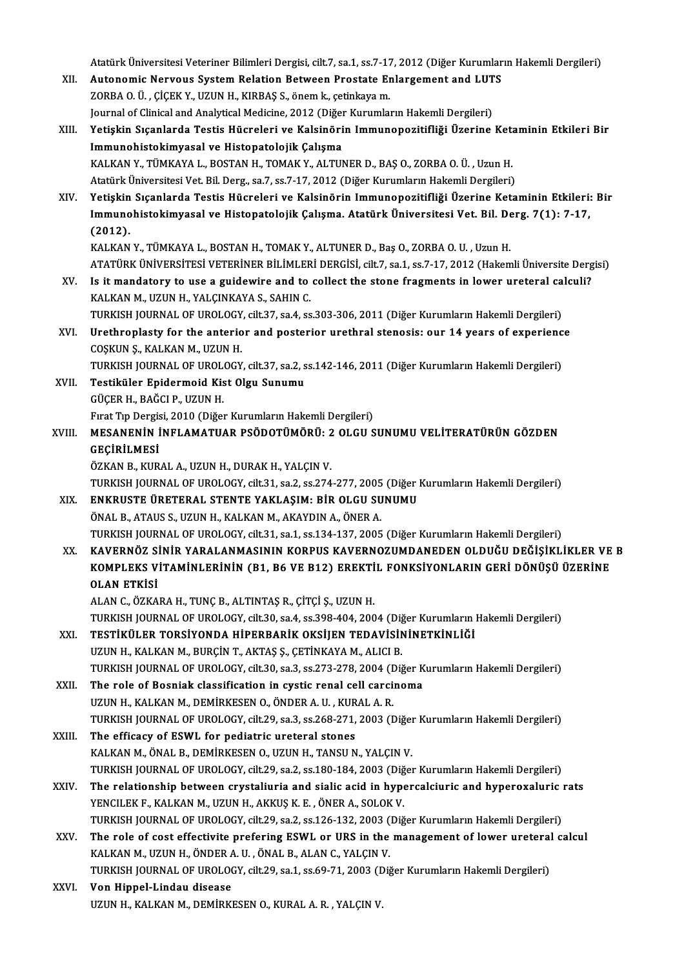Atatürk Üniversitesi Veteriner Bilimleri Dergisi, cilt.7, sa.1, ss.7-17, 2012 (Diğer Kurumların Hakemli Dergileri)<br>Autonomis Norvous System Belation Between Prestate Enlargement and LUTS

- Atatürk Üniversitesi Veteriner Bilimleri Dergisi, cilt.7, sa.1, ss.7-17, 2012 (Diğer Kurumlar<br>XII. Autonomic Nervous System Relation Between Prostate Enlargement and LUTS<br>ZOPRA Q.Ü. CİÇEK V. UZUN H. KIRRAS S. ÖREM k. s Atatürk Üniversitesi Veteriner Bilimleri Dergisi, cilt.7, sa.1, ss.7-17<br>Autonomic Nervous System Relation Between Prostate Er<br>ZORBA O. Ü. , ÇİÇEK Y., UZUN H., KIRBAŞ S., önem k., çetinkaya m.<br>Journal of Clinical and Anakut Autonomic Nervous System Relation Between Prostate Enlargement and LUT<br>ZORBA O. Ü. , ÇİÇEK Y., UZUN H., KIRBAŞ S., önem k., çetinkaya m.<br>Journal of Clinical and Analytical Medicine, 2012 (Diğer Kurumların Hakemli Dergileri
- ZORBA O. Ü. , ÇİÇEK Y., UZUN H., KIRBAŞ S., önem k., çetinkaya m.<br>Journal of Clinical and Analytical Medicine, 2012 (Diğer Kurumların Hakemli Dergileri)<br>XIII. Yetişkin Sıçanlarda Testis Hücreleri ve Kalsinörin Immunopo Journal of Clinical and Analytical Medicine, 2012 (Diğer<br>Yetişkin Sıçanlarda Testis Hücreleri ve Kalsinöri<br>Immunohistokimyasal ve Histopatolojik Çalışma<br>KALKAN V. TÜMKAYA L. BOSTAN H. TOMAK V. ALTU Yetişkin Sıçanlarda Testis Hücreleri ve Kalsinörin Immunopozitifliği Üzerine Keta<br>Immunohistokimyasal ve Histopatolojik Çalışma<br>KALKAN Y., TÜMKAYA L., BOSTAN H., TOMAK Y., ALTUNER D., BAŞ O., ZORBA O. Ü. , Uzun H.<br>Atatürk I<mark>mmunohistokimyasal ve Histopatolojik Çalışma</mark><br>KALKAN Y., TÜMKAYA L., BOSTAN H., TOMAK Y., ALTUNER D., BAŞ O., ZORBA O. Ü. , Uzun H.<br>Atatürk Üniversitesi Vet. Bil. Derg., sa.7, ss.7-17, 2012 (Diğer Kurumların Hakemli Derg
- Atatürk Üniversitesi Vet. Bil. Derg., sa.7, ss.7-17, 2012 (Diğer Kurumların Hakemli Dergileri)<br>XIV. Yetişkin Sıçanlarda Testis Hücreleri ve Kalsinörin Immunopozitifliği Üzerine Ketaminin Etkileri: Bir Atatürk Üniversitesi Vet. Bil. Derg., sa.7, ss.7-17, 2012 (Diğer Kurumların Hakemli Dergileri)<br>Yetişkin Sıçanlarda Testis Hücreleri ve Kalsinörin Immunopozitifliği Üzerine Ketaminin Etkileri:<br>Immunohistokimyasal ve Histopa Yetişkin<br>Immuno<br>(2012).<br><sup>KAL KAN</sup> Immunohistokimyasal ve Histopatolojik Çalışma. Atatürk Üniversitesi Vet. Bil. De<br>(2012).<br>KALKAN Y., TÜMKAYA L., BOSTAN H., TOMAK Y., ALTUNER D., Baş O., ZORBA O. U. , Uzun H.<br>ATATÜRK ÜNIVERSİTESI VETERİNER RİLİMLERİ DERÇİS (2012).<br>KALKAN Y., TÜMKAYA L., BOSTAN H., TOMAK Y., ALTUNER D., Baş O., ZORBA O. U. , Uzun H.<br>ATATÜRK ÜNİVERSİTESİ VETERİNER BİLİMLERİ DERGİSİ, cilt.7, sa.1, ss.7-17, 2012 (Hakemli Üniversite Dergisi)

- KALKAN Y., TÜMKAYA L., BOSTAN H., TOMAK Y., ALTUNER D., Baş O., ZORBA O. U. , Uzun H.<br>ATATÜRK ÜNIVERSITESI VETERINER BILIMLERI DERGISI, cilt.7, sa.1, ss.7-17, 2012 (Hakemli Üniversite Derg<br>XV. Is it mandatory to use a guid ATATÜRK ÜNIVERSITESI VETERINER BILIMLER<br>Is it mandatory to use a guidewire and to<br>KALKAN M., UZUN H., YALÇINKAYA S., SAHIN C.<br>TURKISH JOURNAL OF UROLOCY silt 27, 88 4, 88 Is it mandatory to use a guidewire and to collect the stone fragments in lower ureteral ca<br>KALKAN M., UZUN H., YALÇINKAYA S., SAHIN C.<br>TURKISH JOURNAL OF UROLOGY, cilt.37, sa.4, ss.303-306, 2011 (Diğer Kurumların Hakemli D
- KALKAN M., UZUN H., YALÇINKAYA S., SAHIN C.<br>TURKISH JOURNAL OF UROLOGY, cilt.37, sa.4, ss.303-306, 2011 (Diğer Kurumların Hakemli Dergileri)<br>XVI. Urethroplasty for the anterior and posterior urethral stenosis: our 14 years TURKISH JOURNAL OF UROLOGY<br>Urethroplasty for the anterio<br>COŞKUN Ş., KALKAN M., UZUN H.<br>TURKISH JOURNAL OF UROLOGY XVI. Urethroplasty for the anterior and posterior urethral stenosis: our 14 years of experience<br>COSKUN S., KALKAN M., UZUN H.

TURKISH JOURNAL OF UROLOGY, cilt.37, sa.2, ss.142-146, 2011 (Diğer Kurumların Hakemli Dergileri)

- XVII. Testiküler Epidermoid Kist Olgu Sunumu<br>GÜÇER H., BAĞCI P., UZUN H. Fırat Tıp Dergisi, 2010 (Diğer Kurumların Hakemli Dergileri)
- GÜÇER H., BAĞCI P., UZUN H.<br>Fırat Tıp Dergisi, 2010 (Diğer Kurumların Hakemli Dergileri)<br>XVIII. MESANENİN İNFLAMATUAR PSÖDOTÜMÖRÜ: 2 OLGU SUNUMU VELİTERATÜRÜN GÖZDEN<br>GECIPLI MESİ Fırat Tıp Dergis<br><mark>MESANENİN İ</mark><br>GEÇİRİLMESİ<br>ÖZKAN BAKIR MESANENİN İNFLAMATUAR PSÖDOTÜMÖRÜ: 2<br>GEÇİRİLMESİ<br>ÖZKAN B., KURAL A., UZUN H., DURAK H., YALÇIN V.<br>TURKISH JOURNAL OF UROLOCY. 6<sup>1</sup>131.59.2.56.274

GEÇİRİLMESİ<br>ÖZKAN B., KURAL A., UZUN H., DURAK H., YALÇIN V.<br>TURKISH JOURNAL OF UROLOGY, cilt.31, sa.2, ss.274-277, 2005 (Diğer Kurumların Hakemli Dergileri)<br>ENKRUSTE ÜRETERAL STENTE VAKLASIM. RİR OLGU SUNUMU

- ÖZKAN B., KURAL A., UZUN H., DURAK H., YALÇIN V.<br>TURKISH JOURNAL OF UROLOGY, cilt.31, sa.2, ss.274-277, 2005 (Diğer<br>XIX. ENKRUSTE ÜRETERAL STENTE YAKLAŞIM: BİR OLGU SUNUMU<br>ÖNAL B., ATAUS S., UZUN H., KALKAN M., AKAYDIN A., TURKISH JOURNAL OF UROLOGY, cilt.31, sa.2, ss.274-277, 2005<br>**ENKRUSTE ÜRETERAL STENTE YAKLAŞIM: BİR OLGU SU**<br>ÖNAL B., ATAUS S., UZUN H., KALKAN M., AKAYDIN A., ÖNER A.<br>TURKISH JOURNAL OF UROLOGY, s<sup>ilt.</sup>31, ss.1, ss.134, 1 TURKISH JOURNAL OF UROLOGY, cilt.31, sa.1, ss.134-137, 2005 (Diğer Kurumların Hakemli Dergileri) ÖNAL B., ATAUS S., UZUN H., KALKAN M., AKAYDIN A., ÖNER A.<br>TURKISH JOURNAL OF UROLOGY, cilt.31, sa.1, ss.134-137, 2005 (Diğer Kurumların Hakemli Dergileri)<br>XX. KAVERNÖZ SİNİR YARALANMASININ KORPUS KAVERNOZUMDANEDEN OLD
- TURKISH JOURNAL OF UROLOGY, cilt.31, sa.1, ss.134-137, 2005 (Diğer Kurumların Hakemli Dergileri)<br>KAVERNÖZ SİNİR YARALANMASININ KORPUS KAVERNOZUMDANEDEN OLDUĞU DEĞİŞİKLİKLER VE<br>KOMPLEKS VİTAMİNLERİNİN (B1, B6 VE B12) EREKTİ KAVERNÖZ Sİ<br>KOMPLEKS V<br>OLAN ETKİSİ KOMPLEKS VİTAMİNLERİNİN (B1, B6 VE B12) EREKTİL FONKSİYONLARIN GERİ DÖNÜŞÜ ÜZERİNE<br>OLAN ETKİSİ<br>ALAN C., ÖZKARA H., TUNÇ B., ALTINTAŞ R., ÇİTÇİ Ş., UZUN H.

TURKISH JOURNAL OF UROLOGY, cilt.30, sa.4, ss.398-404, 2004 (Diğer Kurumların Hakemli Dergileri) ALAN C., ÖZKARA H., TUNÇ B., ALTINTAŞ R., ÇİTÇİ Ş., UZUN H.<br>TURKISH JOURNAL OF UROLOGY, cilt30, sa.4, ss.398-404, 2004 (Diğer Kurumların |<br>XXI. TESTİKÜLER TORSİYONDA HİPERBARİK OKSİJEN TEDAVİSİNİNETKİNLİĞİ

- TURKISH JOURNAL OF UROLOGY, cilt.30, sa.4, ss.398-404, 2004 (Diğ **TESTİKÜLER TORSİYONDA HİPERBARİK OKSİJEN TEDAVİSİN**<br>UZUN H., KALKAN M., BURÇİN T., AKTAŞ Ş., ÇETİNKAYA M., ALICI B.<br>TURKISH JOURNAL OF UROLOGY, silt 30, ss. UZUN H., KALKAN M., BURÇİN T., AKTAŞ Ş., ÇETİNKAYA M., ALICI B.<br>TURKISH JOURNAL OF UROLOGY, cilt.30, sa.3, ss.273-278, 2004 (Diğer Kurumların Hakemli Dergileri) UZUN H., KALKAN M., BURÇİN T., AKTAŞ Ş., ÇETİNKAYA M., ALICI B.<br>TURKISH JOURNAL OF UROLOGY, cilt.30, sa.3, ss.273-278, 2004 (Diğer K<br>XXII. The role of Bosniak classification in cystic renal cell carcinoma
- TURKISH JOURNAL OF UROLOGY, cilt.30, sa.3, ss.273-278, 2004 (I<br>The role of Bosniak classification in cystic renal cell carci<br>UZUN H., KALKAN M., DEMİRKESEN O., ÖNDER A. U. , KURAL A. R.<br>TURKISH JOURNAL OF UROLOGY, silt 29, The role of Bosniak classification in cystic renal cell carcinoma<br>UZUN H., KALKAN M., DEMİRKESEN O., ÖNDER A. U. , KURAL A. R.<br>TURKISH JOURNAL OF UROLOGY, cilt.29, sa.3, ss.268-271, 2003 (Diğer Kurumların Hakemli Dergileri UZUN H., KALKAN M., DEMIRKESEN O., ÖNDER A. U. , KUR<br>TURKISH JOURNAL OF UROLOGY, cilt.29, sa.3, ss.268-271,<br>XXIII. The efficacy of ESWL for pediatric ureteral stones
- TURKISH JOURNAL OF UROLOGY, cilt.29, sa.3, ss.268-271, 2003 (Diğer The efficacy of ESWL for pediatric ureteral stones<br>KALKAN M., ÖNAL B., DEMİRKESEN O., UZUN H., TANSU N., YALÇIN V.<br>TURKISH JOURNAL OF UROLOGY, silt 29, ss. The efficacy of ESWL for pediatric ureteral stones<br>KALKAN M., ÖNAL B., DEMİRKESEN O., UZUN H., TANSU N., YALÇIN V.<br>TURKISH JOURNAL OF UROLOGY, cilt.29, sa.2, ss.180-184, 2003 (Diğer Kurumların Hakemli Dergileri)<br>The relati KALKAN M., ÖNAL B., DEMİRKESEN O., UZUN H., TANSU N., YALÇIN V.<br>TURKISH JOURNAL OF UROLOGY, cilt.29, sa.2, ss.180-184, 2003 (Diğer Kurumların Hakemli Dergileri)<br>XXIV. The relationship between crystaliuria and sialic acid i
- TURKISH JOURNAL OF UROLOGY, cilt.29, sa.2, ss.180-184, 2003 (Diğ The relationship between crystaliuria and sialic acid in hype<br>YENCILEK F., KALKAN M., UZUN H., AKKUŞ K. E. , ÖNER A., SOLOK V.<br>TURKISH JOURNAL OF UROLOCY sil The relationship between crystaliuria and sialic acid in hypercalciuric and hyperoxaluric<br>YENCILEK F., KALKAN M., UZUN H., AKKUŞ K. E. , ÖNER A., SOLOK V.<br>TURKISH JOURNAL OF UROLOGY, cilt.29, sa.2, ss.126-132, 2003 (Diğer YENCILEK F., KALKAN M., UZUN H., AKKUŞ K. E. , ÖNER A., SOLOK V.<br>TURKISH JOURNAL OF UROLOGY, cilt.29, sa.2, ss.126-132, 2003 (Diğer Kurumların Hakemli Dergileri)<br>XXV. The role of cost effectivite prefering ESWL or URS in t
- TURKISH JOURNAL OF UROLOGY, cilt.29, sa.2, ss.126-132, 2003 (<br>The role of cost effectivite prefering ESWL or URS in the<br>KALKAN M., UZUN H., ÖNDER A. U. , ÖNAL B., ALAN C., YALÇIN V.<br>TURKISH JOURNAL OF UROLOGY, silt 29, ss. The role of cost effectivite prefering ESWL or URS in the management of lower ureteral<br>KALKAN M., UZUN H., ÖNDER A. U. , ÖNAL B., ALAN C., YALÇIN V.<br>TURKISH JOURNAL OF UROLOGY, cilt.29, sa.1, ss.69-71, 2003 (Diğer Kurumlar TURKISH JOURNAL OF UROLOGY, cilt.29, sa.1, ss.69-71, 2003 (Diğer Kurumların Hakemli Dergileri)
- KALKAN M., UZUN H., ÖNDER A. U. , ÖNAL B., ALAN C., YALÇIN V.<br>TURKISH JOURNAL OF UROLOGY, cilt.29, sa.1, ss.69-71, 2003 (Diğ<br>XXVI. **Von Hippel-Lindau disease**<br>UZUN H., KALKAN M., DEMİRKESEN O., KURAL A. R. , YALÇIN V.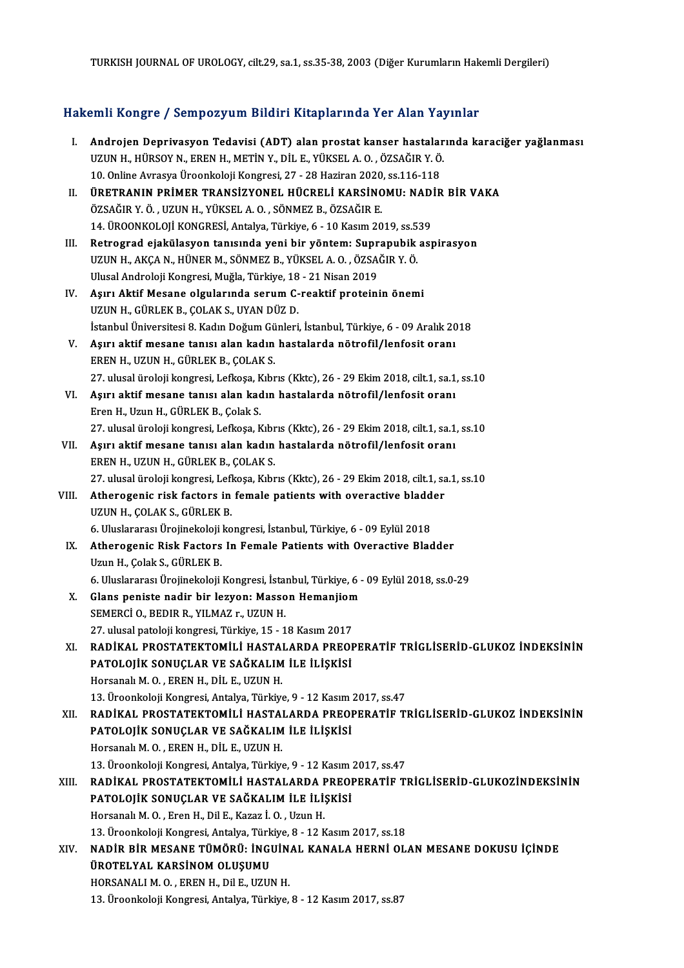TURKISH JOURNAL OF UROLOGY, cilt.29, sa.1, ss.35-38, 2003 (Diğer Kurumların Hakemli Dergileri)

# Hakemli Kongre / Sempozyum Bildiri Kitaplarında Yer Alan Yayınlar

- akemli Kongre / Sempozyum Bildiri Kitaplarında Yer Alan Yayınlar<br>I. Androjen Deprivasyon Tedavisi (ADT) alan prostat kanser hastalarında karaciğer yağlanması<br>1970'du yulu yulu karacı yazım bili karin ve bir karikçer A.O. Ö UZUNH., HÜRSOY'N., ERENH., METİNY., DİL E., YÜKSEL A. O. , ÖZSAĞIR Y. Ö.<br>UZUNH., HÜRSOY'N., ERENH., METİNY., DİL E., YÜKSEL A. O. , ÖZSAĞIR Y. Ö.<br>10. Online Ayrasya Üreenkeleli Kengresi, 27., 29 Haziran 2020. ss 116,119 Androjen Deprivasyon Tedavisi (ADT) alan prostat kanser hastalan<br>UZUN H., HÜRSOY N., EREN H., METİN Y., DİL E., YÜKSEL A. O. , ÖZSAĞIR Y. Ö.<br>10. Online Avrasya Üroonkoloji Kongresi, 27 - 28 Haziran 2020, ss.116-118<br>ÜRETRAN UZUN H., HÜRSOY N., EREN H., METİN Y., DİL E., YÜKSEL A. O. , ÖZSAĞIR Y. Ö.<br>10. Online Avrasya Üroonkoloji Kongresi, 27 - 28 Haziran 2020, ss.116-118<br>II. ÜRETRANIN PRİMER TRANSİZYONEL HÜCRELİ KARSİNOMU: NADİR BİR VAKA<br>ÖZSA
- 10. Online Avrasya Üroonkoloji Kongresi, 27 28 Haziran 2020<br>**ÜRETRANIN PRİMER TRANSİZYONEL HÜCRELİ KARSİNC**<br>ÖZSAĞIR Y. Ö. , UZUN H., YÜKSEL A. O. , SÖNMEZ B., ÖZSAĞIR E.<br>14. ÜROONKOLOJİ KONCRESİ, Artalya Türkiye, 6., 10 ÜRETRANIN PRİMER TRANSİZYONEL HÜCRELİ KARSİNOMU: NAD<br>ÖZSAĞIR Y. Ö. , UZUN H., YÜKSEL A. O. , SÖNMEZ B., ÖZSAĞIR E.<br>14. ÜROONKOLOJİ KONGRESİ, Antalya, Türkiye, 6 - 10 Kasım 2019, ss.539<br>Betresred ejekülesyen tanısında yeni ÖZSAĞIR Y. Ö. , UZUN H., YÜKSEL A. O. , SÖNMEZ B., ÖZSAĞIR E.<br>14. ÜROONKOLOJİ KONGRESİ, Antalya, Türkiye, 6 - 10 Kasım 2019, ss.539<br>III. Retrograd ejakülasyon tanısında yeni bir yöntem: Suprapubik aspirasyon<br>IIZUN H. AKÇA
- 14. ÜROONKOLOJİ KONGRESİ, Antalya, Türkiye, 6 10 Kasım 2019, ss.5.<br>Retrograd ejakülasyon tanısında yeni bir yöntem: Suprapubik<br>UZUN H., AKÇA N., HÜNER M., SÖNMEZ B., YÜKSEL A. O. , ÖZSAĞIR Y. Ö.<br>Ulusel Andreleji Kongresi Retrograd ejakülasyon tanısında yeni bir yöntem: Supr<br>UZUN H., AKÇA N., HÜNER M., SÖNMEZ B., YÜKSEL A. O. , ÖZSA<br>Ulusal Androloji Kongresi, Muğla, Türkiye, 18 - 21 Nisan 2019<br>Asını Aktif Masano olayılarında sonum G. roakti UZUN H., AKÇA N., HÜNER M., SÖNMEZ B., YÜKSEL A. O. , ÖZSAĞIR Y. Ö.<br>Ulusal Androloji Kongresi, Muğla, Türkiye, 18 - 21 Nisan 2019<br>IV. Aşırı Aktif Mesane olgularında serum C-reaktif proteinin önemi<br>UZUN H., GÜRLEK B., COLAK Ulusal Androloji Kongresi, Muğla, Türkiye, 18 - 21 Nisan 2019
- Aşırı Aktif Mesane olgularında serum C-reaktif proteinin önemi<br>UZUN H., GÜRLEK B., ÇOLAK S., UYAN DÜZ D.<br>İstanbul Üniversitesi 8. Kadın Doğum Günleri, İstanbul, Türkiye, 6 09 Aralık 2018<br>Asını aktif mesane tanısı alan ka VZUN H., GÜRLEK B., ÇOLAK S., UYAN DÜZ D.<br>İstanbul Üniversitesi 8. Kadın Doğum Günleri, İstanbul, Türkiye, 6 - 09 Aralık 20<br>V. Aşırı aktif mesane tanısı alan kadın hastalarda nötrofil/lenfosit oranı<br>FREN H. UZUN H. GÜRLEK
- İstanbul Üniversitesi 8. Kadın Doğum Gü<br>Aşırı aktif mesane tanısı alan kadın<br>EREN H., UZUN H., GÜRLEK B., ÇOLAK S.<br>27. ulusel üneleji kongresi Lefkese, Kıbr Aşırı aktif mesane tanısı alan kadın hastalarda nötrofil/lenfosit oranı<br>EREN H., UZUN H., GÜRLEK B., ÇOLAK S.<br>27. ulusal üroloji kongresi, Lefkoşa, Kıbrıs (Kktc), 26 - 29 Ekim 2018, cilt.1, sa.1, ss.10<br>Asırı aktif mesane t EREN H., UZUN H., GÜRLEK B., ÇOLAK S.<br>27. ulusal üroloji kongresi, Lefkoşa, Kıbrıs (Kktc), 26 - 29 Ekim 2018, cilt.1, sa.1<br>VI. Aşırı aktif mesane tanısı alan kadın hastalarda nötrofil/lenfosit oranı<br>Eren H., Uzun H., GÜRLE
- 27. ulusal üroloji kongresi, Lefkoşa, K<br>Aşırı aktif mesane tanısı alan kad<br>Eren H., Uzun H., GÜRLEK B., Çolak S.<br>27. ulusal üroloji kongresi, Lefkosa, K Aşırı aktif mesane tanısı alan kadın hastalarda nötrofil/lenfosit oranı<br>Eren H., Uzun H., GÜRLEK B., Çolak S.<br>27. ulusal üroloji kongresi, Lefkoşa, Kıbrıs (Kktc), 26 - 29 Ekim 2018, cilt.1, sa.1, ss.10<br>Asırı aktif mesane t
- VII. Aşırı aktif mesane tanısı alan kadın hastalarda nötrofil/lenfosit oranı<br>EREN H., UZUN H., GÜRLEK B., COLAK S. 27. ulusal üroloji kongresi, Lefkoşa, Kıbr<br>Aşırı aktif mesane tanısı alan kadın<br>EREN H., UZUN H., GÜRLEK B., ÇOLAK S.<br>27. ulusal üroloji kongresi Lefkosa, Kıbr Aşırı aktif mesane tanısı alan kadın hastalarda nötrofil/lenfosit oranı<br>EREN H., UZUN H., GÜRLEK B., ÇOLAK S.<br>27. ulusal üroloji kongresi, Lefkoşa, Kıbrıs (Kktc), 26 - 29 Ekim 2018, cilt.1, sa.1, ss.10<br>Atharagania risk fas EREN H., UZUN H., GÜRLEK B., ÇOLAK S.<br>27. ulusal üroloji kongresi, Lefkoşa, Kıbrıs (Kktc), 26 - 29 Ekim 2018, cilt.1, sa<br>VIII. Atherogenic risk factors in female patients with overactive bladder<br>UZUN H. COLAK S. CÜPLEK B.
- 27. ulusal üroloji kongresi, Lefl<br><mark>Atherogenic risk factors in</mark><br>UZUN H., ÇOLAK S., GÜRLEK B.<br>6. Uluslarares: Ürojinekeleji ko Filterogenic risk factors in female patients with overactive bladd<br>UZUN H., ÇOLAK S., GÜRLEK B.<br>6. Uluslararası Ürojinekoloji kongresi, İstanbul, Türkiye, 6 - 09 Eylül 2018<br>Atharagania Bisk Fastara In Famale Batients with
- UZUN H., ÇOLAK S., GÜRLEK B.<br>6. Uluslararası Ürojinekoloji kongresi, İstanbul, Türkiye, 6 09 Eylül 2018<br>IX. Atherogenic Risk Factors In Female Patients with Overactive Bladder<br>Urun H. Colak S. GÜRLEK P. 6. Uluslararası Ürojinekoloji<br>Atherogenic Risk Factors<br>Uzun H., Çolak S., GÜRLEK B.<br>6. Uluslararası Ürojinekalaji Atherogenic Risk Factors In Female Patients with Overactive Bladder<br>Uzun H., Çolak S., GÜRLEK B.<br>6. Uluslararası Ürojinekoloji Kongresi, İstanbul, Türkiye, 6 - 09 Eylül 2018, ss.0-29<br>Clans noniste nedin bir Jerusay, Massan

- Uzun H., Çolak S., GÜRLEK B.<br>6. Uluslararası Ürojinekoloji Kongresi, İstanbul, Türkiye, 6 -<br>X. Glans peniste nadir bir lezyon: Masson Hemanjiom<br>SEMERCİ O. PEDIR R. VILMAZ B. HZIN H 6. Uluslararası Ürojinekoloji Kongresi, İstanbul, Türkiye, 6 - 09 Eylül 2018, ss.0-29<br>Glans peniste nadir bir lezyon: Masson Hemanjiom<br>SEMERCİ O., BEDIR R., YILMAZ r., UZUN H.<br>27. ulusal patoloji kongresi, Türkiye, 15 - 18 31. Glans peniste nadir bir lezyon: Masson Hemanjiom<br>SEMERCI 0., BEDIR R., YILMAZ r., UZUN H.<br>27. ulusal patoloji kongresi, Türkiye, 15 - 18 Kasım 2017<br>BADİKAL PROSTATEKTOMİL İ HASTALARDA PREOR
- SEMERCİ O., BEDIR R., YILMAZ r., UZUN H.<br>27. ulusal patoloji kongresi, Türkiye, 15 18 Kasım 2017<br>XI. RADİKAL PROSTATEKTOMİLİ HASTALARDA PREOPERATİF TRİGLİSERİD-GLUKOZ İNDEKSİNİN<br>PATOLOJİK SONUCLAR VE SAĞKALIM İLE JI 27. ulusal patoloji kongresi, Türkiye, 15 - 18 Kasım 2017<br>RADİKAL PROSTATEKTOMİLİ HASTALARDA PREOI<br>PATOLOJİK SONUÇLAR VE SAĞKALIM İLE İLİŞKİSİ<br>Harsanalı M.O., EREN H. DİLE JIZIN H RADİKAL PROSTATEKTOMİLİ HASTAI<br>PATOLOJİK SONUÇLAR VE SAĞKALIM<br>Horsanalı M. O. , EREN H., DİL E., UZUN H.<br>13. Üreenkeleli Kongresi, Antalya Türkiye 13. PATOLOJİK SONUÇLAR VE SAĞKALIM İLE İLİŞKİSİ<br>13. Üroonkoloji Kongresi, Antalya, Türkiye, 9 - 12 Kasım 2017, ss.47 Horsanalı M. O. , EREN H., DİL E., UZUN H.<br>13. Üroonkoloji Kongresi, Antalya, Türkiye, 9 - 12 Kasım 2017, ss.47<br>XII. RADİKAL PROSTATEKTOMİLİ HASTALARDA PREOPERATİF TRİGLİSERİD-GLUKOZ İNDEKSİNİN<br>RATOLOJIK SONUCLAR VE SA
- 13. Üroonkoloji Kongresi, Antalya, Türkiye, 9 12 Kasım :<br>RADİKAL PROSTATEKTOMİLİ HASTALARDA PREOI<br>PATOLOJİK SONUÇLAR VE SAĞKALIM İLE İLİŞKİSİ<br>Harsanalı M.O., EREN H. DİLE JIZIN H PATOLOJİK SONUÇLAR VE SAĞKALIM İLE İLİŞKİSİ<br>Horsanalı M. O., EREN H., DİL E., UZUN H. 13.ÜroonkolojiKongresi,Antalya,Türkiye,9 -12Kasım2017, ss.47
- XIII. RADİKAL PROSTATEKTOMİLİ HASTALARDA PREOPERATİF TRİGLİSERİD-GLUKOZİNDEKSİNİN 13. Üroonkoloji Kongresi, Antalya, Türkiye, 9 - 12 Kasım :<br>RADİKAL PROSTATEKTOMİLİ HASTALARDA PREOI<br>PATOLOJİK SONUÇLAR VE SAĞKALIM İLE İLİŞKİSİ<br>Harsanalı M.O., Eran H. Dil E. Karaz İ.O., Urun H RADİKAL PROSTATEKTOMİLİ HASTALARDA I<br>PATOLOJİK SONUÇLAR VE SAĞKALIM İLE İLİ!<br>Horsanalı M. O. , Eren H., Dil E., Kazaz İ. O. , Uzun H.<br>13 Üneenkeleji Kongresi, Antalya Türkiye, 8, 13 K Horsanalı M. O. , Eren H., Dil E., Kazaz İ. O. , Uzun H.<br>13. Üroonkoloji Kongresi, Antalya, Türkiye, 8 - 12 Kasım 2017, ss.18 Horsanalı M. O. , Eren H., Dil E., Kazaz İ. O. , Uzun H.<br>13. Üroonkoloji Kongresi, Antalya, Türkiye, 8 - 12 Kasım 2017, ss.18<br>XIV. NADİR BİR MESANE TÜMÖRÜ: İNGUİNAL KANALA HERNİ OLAN MESANE DOKUSU İÇİNDE<br>ÜROTEL VAL KAR
- 13. Üroonkoloji Kongresi, Antalya, Türk<br>NADİR BİR MESANE TÜMÖRÜ: İNGI<br>ÜROTELYAL KARSİNOM OLUŞUMU<br>HORSANALLM O. EREN H. Dil E. HZUL NADİR BİR MESANE TÜMÖRÜ: İNGUİN.<br>ÜROTELYAL KARSİNOM OLUŞUMU<br>HORSANALI M. O. , EREN H., Dil E., UZUN H.<br>13. Üroonkeleji Kongresi, Antakra Türkiye ÜROTELYAL KARSİNOM OLUŞUMU<br>13. Üroonkoloji Kongresi, Antalya, Türkiye, 8 - 12 Kasım 2017, ss.87<br>13. Üroonkoloji Kongresi, Antalya, Türkiye, 8 - 12 Kasım 2017, ss.87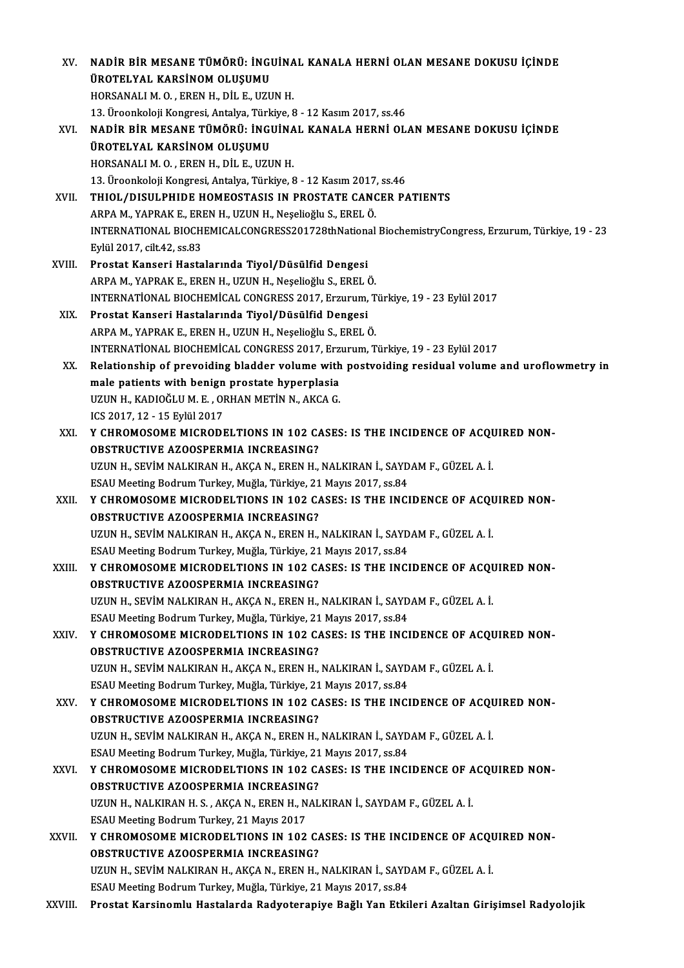| XV.          | NADİR BİR MESANE TÜMÖRÜ: İNGUİNAL KANALA HERNİ OLAN MESANE DOKUSU İÇİNDE                          |
|--------------|---------------------------------------------------------------------------------------------------|
|              | ÜROTELYAL KARSİNOM OLUŞUMU                                                                        |
|              | HORSANALI M. O., EREN H., DIL E., UZUN H.                                                         |
|              | 13. Üroonkoloji Kongresi, Antalya, Türkiye, 8 - 12 Kasım 2017, ss.46                              |
| XVI.         | NADİR BİR MESANE TÜMÖRÜ: İNGUİNAL KANALA HERNİ OLAN MESANE DOKUSU İÇİNDE                          |
|              | ÜROTELYAL KARSİNOM OLUŞUMU                                                                        |
|              | HORSANALI M. O., EREN H., DIL E., UZUN H.                                                         |
|              | 13. Üroonkoloji Kongresi, Antalya, Türkiye, 8 - 12 Kasım 2017, ss.46                              |
| XVII.        | THIOL/DISULPHIDE HOMEOSTASIS IN PROSTATE CANCER PATIENTS                                          |
|              | ARPA M., YAPRAK E., EREN H., UZUN H., Neșelioğlu S., EREL Ö.                                      |
|              | INTERNATIONAL BIOCHEMICALCONGRESS201728thNational BiochemistryCongress, Erzurum, Türkiye, 19 - 23 |
|              | Eylül 2017, cilt 42, ss 83                                                                        |
| XVIII.       | Prostat Kanseri Hastalarında Tiyol/Düsülfid Dengesi                                               |
|              | ARPA M., YAPRAK E., EREN H., UZUN H., Neșelioğlu S., EREL Ö.                                      |
|              | INTERNATIONAL BIOCHEMICAL CONGRESS 2017, Erzurum, Türkiye, 19 - 23 Eylül 2017                     |
| XIX.         | Prostat Kanseri Hastalarında Tiyol/Düsülfid Dengesi                                               |
|              | ARPA M., YAPRAK E., EREN H., UZUN H., Neşelioğlu S., EREL Ö.                                      |
|              | INTERNATIONAL BIOCHEMICAL CONGRESS 2017, Erzurum, Türkiye, 19 - 23 Eylül 2017                     |
| XX.          | Relationship of prevoiding bladder volume with postvoiding residual volume and uroflowmetry in    |
|              | male patients with benign prostate hyperplasia                                                    |
|              | UZUN H., KADIOĞLU M. E., ORHAN METİN N., AKCA G.                                                  |
|              | ICS 2017, 12 - 15 Eylül 2017                                                                      |
| XXI.         | Y CHROMOSOME MICRODELTIONS IN 102 CASES: IS THE INCIDENCE OF ACQUIRED NON-                        |
|              | <b>OBSTRUCTIVE AZOOSPERMIA INCREASING?</b>                                                        |
|              | UZUN H., SEVİM NALKIRAN H., AKÇA N., EREN H., NALKIRAN İ., SAYDAM F., GÜZEL A. İ.                 |
|              | ESAU Meeting Bodrum Turkey, Muğla, Türkiye, 21 Mayıs 2017, ss.84                                  |
| XXII.        | Y CHROMOSOME MICRODELTIONS IN 102 CASES: IS THE INCIDENCE OF ACQUIRED NON-                        |
|              | <b>OBSTRUCTIVE AZOOSPERMIA INCREASING?</b>                                                        |
|              | UZUN H., SEVİM NALKIRAN H., AKÇA N., EREN H., NALKIRAN İ., SAYDAM F., GÜZEL A. İ.                 |
|              | ESAU Meeting Bodrum Turkey, Muğla, Türkiye, 21 Mayıs 2017, ss.84                                  |
| XXIII.       | Y CHROMOSOME MICRODELTIONS IN 102 CASES: IS THE INCIDENCE OF ACQUIRED NON-                        |
|              | <b>OBSTRUCTIVE AZOOSPERMIA INCREASING?</b>                                                        |
|              | UZUN H., SEVİM NALKIRAN H., AKÇA N., EREN H., NALKIRAN İ., SAYDAM F., GÜZEL A. İ.                 |
|              | ESAU Meeting Bodrum Turkey, Muğla, Türkiye, 21 Mayıs 2017, ss.84                                  |
| XXIV.        | Y CHROMOSOME MICRODELTIONS IN 102 CASES: IS THE INCIDENCE OF ACQUIRED NON-                        |
|              | <b>OBSTRUCTIVE AZOOSPERMIA INCREASING?</b>                                                        |
|              | UZUN H., SEVİM NALKIRAN H., AKÇA N., EREN H., NALKIRAN İ., SAYDAM F., GÜZEL A. İ.                 |
|              | ESAU Meeting Bodrum Turkey, Muğla, Türkiye, 21 Mayıs 2017, ss.84                                  |
| XXV.         | Y CHROMOSOME MICRODELTIONS IN 102 CASES: IS THE INCIDENCE OF ACQUIRED NON-                        |
|              | OBSTRUCTIVE AZOOSPERMIA INCREASING?                                                               |
|              | UZUN H., SEVİM NALKIRAN H., AKÇA N., EREN H., NALKIRAN İ., SAYDAM F., GÜZEL A. İ.                 |
|              | ESAU Meeting Bodrum Turkey, Muğla, Türkiye, 21 Mayıs 2017, ss.84                                  |
| XXVI.        | Y CHROMOSOME MICRODELTIONS IN 102 CASES: IS THE INCIDENCE OF ACQUIRED NON-                        |
|              | <b>OBSTRUCTIVE AZOOSPERMIA INCREASING?</b>                                                        |
|              | UZUN H., NALKIRAN H. S., AKÇA N., EREN H., NALKIRAN İ., SAYDAM F., GÜZEL A. İ.                    |
|              | ESAU Meeting Bodrum Turkey, 21 Mayıs 2017                                                         |
| <b>XXVII</b> | Y CHROMOSOME MICRODELTIONS IN 102 CASES: IS THE INCIDENCE OF ACQUIRED NON-                        |
|              | OBSTRUCTIVE AZOOSPERMIA INCREASING?                                                               |
|              | UZUN H., SEVİM NALKIRAN H., AKÇA N., EREN H., NALKIRAN İ., SAYDAM F., GÜZEL A. İ.                 |
|              | ESAU Meeting Bodrum Turkey, Muğla, Türkiye, 21 Mayıs 2017, ss.84                                  |
| XXVIII.      | Prostat Karsinomlu Hastalarda Radyoterapiye Bağlı Yan Etkileri Azaltan Girişimsel Radyolojik      |
|              |                                                                                                   |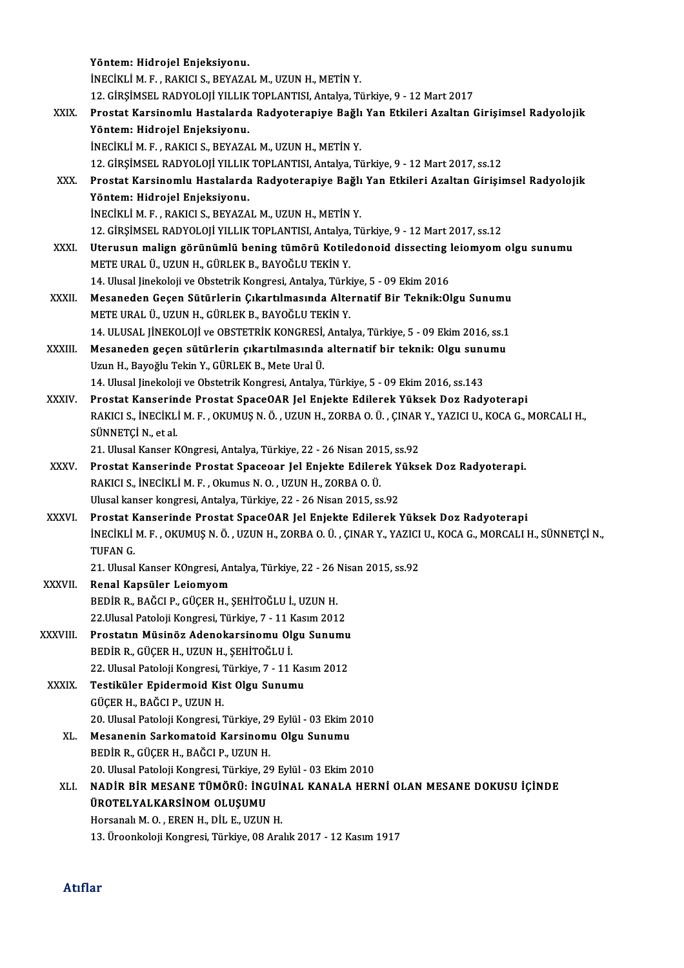|              | Yöntem: Hidrojel Enjeksiyonu.                                                                                                         |
|--------------|---------------------------------------------------------------------------------------------------------------------------------------|
|              | INECIKLI M. F., RAKICI S., BEYAZAL M., UZUN H., METIN Y.                                                                              |
|              | 12. GİRŞİMSEL RADYOLOJİ YILLIK TOPLANTISI, Antalya, Türkiye, 9 - 12 Mart 2017                                                         |
| XXIX.        | Prostat Karsinomlu Hastalarda Radyoterapiye Bağlı Yan Etkileri Azaltan Girişimsel Radyolojik                                          |
|              | Yöntem: Hidrojel Enjeksiyonu.                                                                                                         |
|              | INECIKLI M. F., RAKICI S., BEYAZAL M., UZUN H., METIN Y.                                                                              |
|              | 12. GİRŞİMSEL RADYOLOJİ YILLIK TOPLANTISI, Antalya, Türkiye, 9 - 12 Mart 2017, ss.12                                                  |
| XXX.         | Prostat Karsinomlu Hastalarda Radyoterapiye Bağlı Yan Etkileri Azaltan Girişimsel Radyolojik                                          |
|              | Yöntem: Hidrojel Enjeksiyonu.                                                                                                         |
|              | İNECİKLİ M. F., RAKICI S., BEYAZAL M., UZUN H., METİN Y.                                                                              |
|              | 12. GİRŞİMSEL RADYOLOJİ YILLIK TOPLANTISI, Antalya, Türkiye, 9 - 12 Mart 2017, ss.12                                                  |
| XXXI.        | Uterusun malign görünümlü bening tümörü Kotiledonoid dissecting leiomyom olgu sunumu                                                  |
|              | METE URAL Ü., UZUN H., GÜRLEK B., BAYOĞLU TEKİN Y.<br>14. Ulusal Jinekoloji ve Obstetrik Kongresi, Antalya, Türkiye, 5 - 09 Ekim 2016 |
| XXXII.       | Mesaneden Geçen Sütürlerin Çıkartılmasında Alternatif Bir Teknik: Olgu Sunumu                                                         |
|              | METE URAL Ü., UZUN H., GÜRLEK B., BAYOĞLU TEKİN Y.                                                                                    |
|              | 14. ULUSAL JİNEKOLOJİ ve OBSTETRİK KONGRESİ, Antalya, Türkiye, 5 - 09 Ekim 2016, ss.1                                                 |
| XXXIII.      | Mesaneden geçen sütürlerin çıkartılmasında alternatif bir teknik: Olgu sunumu                                                         |
|              | Uzun H., Bayoğlu Tekin Y., GÜRLEK B., Mete Ural Ü.                                                                                    |
|              | 14. Ulusal Jinekoloji ve Obstetrik Kongresi, Antalya, Türkiye, 5 - 09 Ekim 2016, ss.143                                               |
| XXXIV.       | Prostat Kanserinde Prostat SpaceOAR Jel Enjekte Edilerek Yüksek Doz Radyoterapi                                                       |
|              | RAKICI S., İNECİKLİ M. F., OKUMUŞ N. Ö., UZUN H., ZORBA O. Ü., ÇINAR Y., YAZICI U., KOCA G., MORCALI H.,                              |
|              | SÜNNETÇİ N, et al.                                                                                                                    |
|              | 21. Ulusal Kanser KOngresi, Antalya, Türkiye, 22 - 26 Nisan 2015, ss.92                                                               |
| <b>XXXV</b>  | Prostat Kanserinde Prostat Spaceoar Jel Enjekte Edilerek Yüksek Doz Radyoterapi.                                                      |
|              | RAKICI S., İNECİKLİ M. F., Okumus N. O., UZUN H., ZORBA O. Ü.                                                                         |
|              | Ulusal kanser kongresi, Antalya, Türkiye, 22 - 26 Nisan 2015, ss 92                                                                   |
| XXXVI.       | Prostat Kanserinde Prostat SpaceOAR Jel Enjekte Edilerek Yüksek Doz Radyoterapi                                                       |
|              | INECIKLI M. F. , OKUMUŞ N. Ö. , UZUN H., ZORBA O. Ü. , ÇINAR Y., YAZICI U., KOCA G., MORCALI H., SÜNNETÇİ N.,                         |
|              | TUFAN G                                                                                                                               |
|              | 21. Ulusal Kanser KOngresi, Antalya, Türkiye, 22 - 26 Nisan 2015, ss.92                                                               |
| XXXVII.      | Renal Kapsüler Leiomyom<br>BEDİR R., BAĞCI P., GÜÇER H., ŞEHİTOĞLU İ., UZUN H.                                                        |
|              | 22. Ulusal Patoloji Kongresi, Türkiye, 7 - 11 Kasım 2012                                                                              |
| XXXVIII.     | Prostatın Müsinöz Adenokarsinomu Olgu Sunumu                                                                                          |
|              | BEDİR R., GÜÇER H., UZUN H., ŞEHİTOĞLU İ.                                                                                             |
|              | 22. Ulusal Patoloji Kongresi, Türkiye, 7 - 11 Kasım 2012                                                                              |
| <b>XXXIX</b> | Testiküler Epidermoid Kist Olgu Sunumu                                                                                                |
|              | GÜÇER H., BAĞCI P., UZUN H.                                                                                                           |
|              | 20. Ulusal Patoloji Kongresi, Türkiye, 29 Eylül - 03 Ekim 2010                                                                        |
| XL.          | Mesanenin Sarkomatoid Karsinomu Olgu Sunumu                                                                                           |
|              | BEDİR R., GÜÇER H., BAĞCI P., UZUN H.                                                                                                 |
|              | 20. Ulusal Patoloji Kongresi, Türkiye, 29 Eylül - 03 Ekim 2010                                                                        |
| XLI.         | NADİR BİR MESANE TÜMÖRÜ: İNGUİNAL KANALA HERNİ OLAN MESANE DOKUSU İÇİNDE                                                              |
|              | ÜROTELYALKARSİNOM OLUŞUMU                                                                                                             |
|              | Horsanalı M. O., EREN H., DİL E., UZUN H.                                                                                             |
|              | 13. Üroonkoloji Kongresi, Türkiye, 08 Aralık 2017 - 12 Kasım 1917                                                                     |
|              |                                                                                                                                       |

## Atıflar